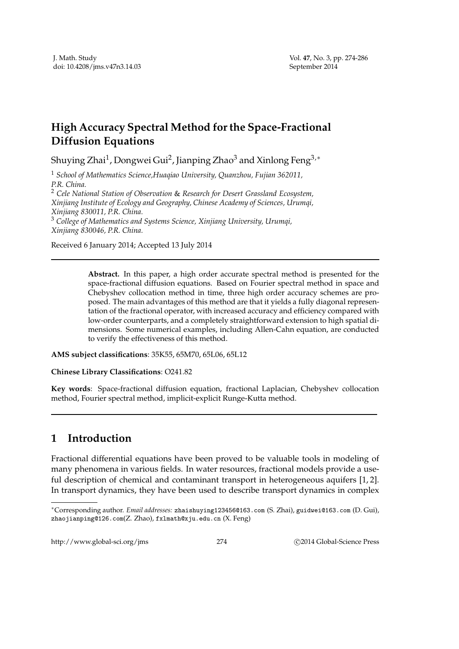## **High Accuracy Spectral Method for the Space-Fractional Diffusion Equations**

Shuying Zhai $^1$ , Dongwei Gui $^2$ , Jianping Zhao $^3$  and Xinlong Feng $^{3,\ast}$ 

<sup>1</sup> *School of Mathematics Science,Huaqiao University, Quanzhou, Fujian 362011, P.R. China.* <sup>2</sup> *Cele National Station of Observation* & *Research for Desert Grassland Ecosystem,*

*Xinjiang Institute of Ecology and Geography, Chinese Academy of Sciences, Urumqi, Xinjiang 830011, P.R. China.*

<sup>3</sup> *College of Mathematics and Systems Science, Xinjiang University, Urumqi, Xinjiang 830046, P.R. China.*

Received 6 January 2014; Accepted 13 July 2014

**Abstract.** In this paper, a high order accurate spectral method is presented for the space-fractional diffusion equations. Based on Fourier spectral method in space and Chebyshev collocation method in time, three high order accuracy schemes are proposed. The main advantages of this method are that it yields a fully diagonal representation of the fractional operator, with increased accuracy and efficiency compared with low-order counterparts, and a completely straightforward extension to high spatial dimensions. Some numerical examples, including Allen-Cahn equation, are conducted to verify the effectiveness of this method.

**AMS subject classifications**: 35K55, 65M70, 65L06, 65L12

**Chinese Library Classifications**: O241.82

**Key words**: Space-fractional diffusion equation, fractional Laplacian, Chebyshev collocation method, Fourier spectral method, implicit-explicit Runge-Kutta method.

## **1 Introduction**

Fractional differential equations have been proved to be valuable tools in modeling of many phenomena in various fields. In water resources, fractional models provide a useful description of chemical and contaminant transport in heterogeneous aquifers [1, 2]. In transport dynamics, they have been used to describe transport dynamics in complex

http://www.global-sci.org/jms 274 
274

20014 Global-Science Press

<sup>∗</sup>Corresponding author. *Email addresses:* zhaishuying123456@163.com (S. Zhai), guidwei@163.com (D. Gui), zhaojianping@126.com(Z. Zhao), fxlmath@xju.edu.cn (X. Feng)